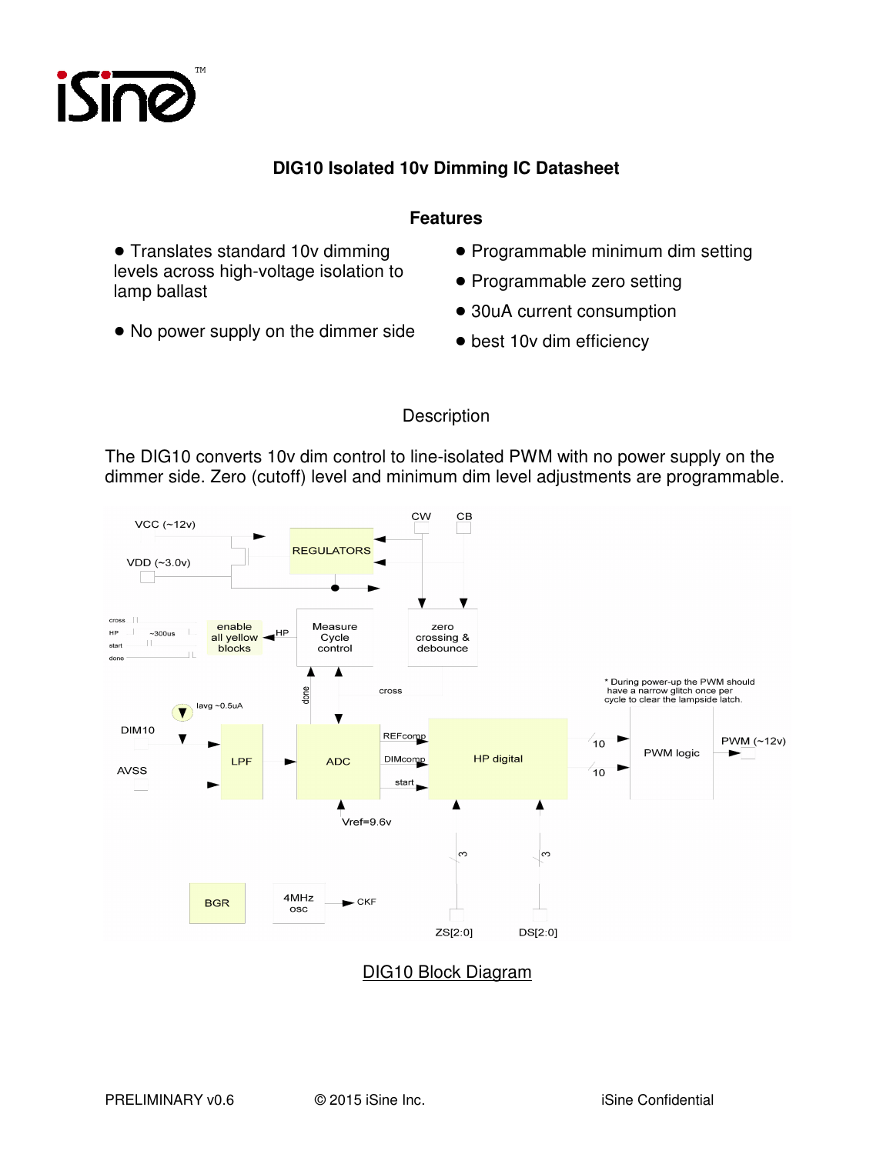

## **DIG10 Isolated 10v Dimming IC Datasheet**

## **Features**

• Translates standard 10v dimming levels across high-voltage isolation to lamp ballast

• No power supply on the dimmer side

- Programmable minimum dim setting
- Programmable zero setting
- 30uA current consumption
- best 10v dim efficiency

## **Description**

The DIG10 converts 10v dim control to line-isolated PWM with no power supply on the dimmer side. Zero (cutoff) level and minimum dim level adjustments are programmable.



# DIG10 Block Diagram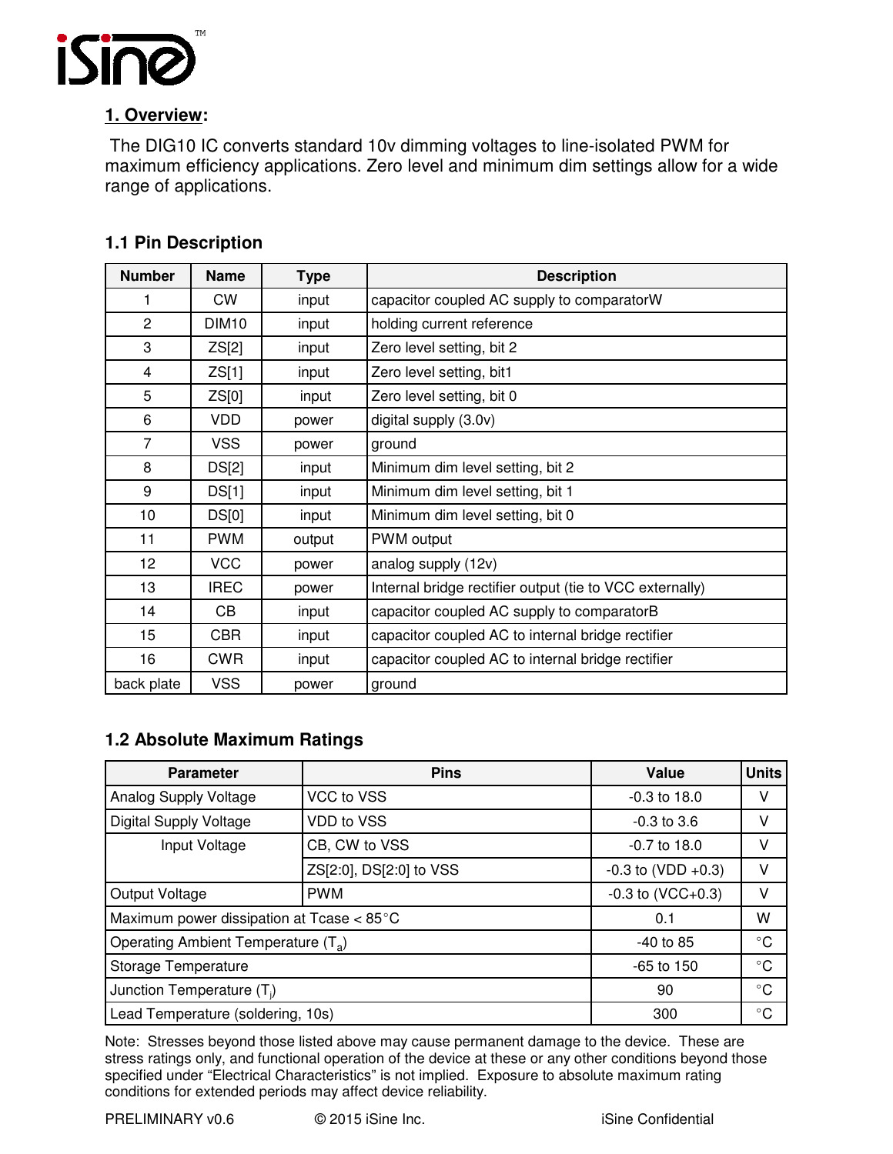

# **1. Overview:**

 The DIG10 IC converts standard 10v dimming voltages to line-isolated PWM for maximum efficiency applications. Zero level and minimum dim settings allow for a wide range of applications.

| <b>Number</b>  | <b>Name</b>       | <b>Type</b> | <b>Description</b>                                       |
|----------------|-------------------|-------------|----------------------------------------------------------|
| 1              | <b>CW</b>         | input       | capacitor coupled AC supply to comparatorW               |
| $\overline{2}$ | DIM <sub>10</sub> | input       | holding current reference                                |
| 3              | ZS[2]             | input       | Zero level setting, bit 2                                |
| 4              | ZS[1]             | input       | Zero level setting, bit1                                 |
| 5              | ZS[0]             | input       | Zero level setting, bit 0                                |
| 6              | VDD               | power       | digital supply (3.0v)                                    |
| $\overline{7}$ | <b>VSS</b>        | power       | ground                                                   |
| 8              | DS[2]             | input       | Minimum dim level setting, bit 2                         |
| 9              | DS[1]             | input       | Minimum dim level setting, bit 1                         |
| 10             | DS[0]             | input       | Minimum dim level setting, bit 0                         |
| 11             | <b>PWM</b>        | output      | PWM output                                               |
| 12             | <b>VCC</b>        | power       | analog supply (12v)                                      |
| 13             | <b>IREC</b>       | power       | Internal bridge rectifier output (tie to VCC externally) |
| 14             | CВ                | input       | capacitor coupled AC supply to comparatorB               |
| 15             | <b>CBR</b>        | input       | capacitor coupled AC to internal bridge rectifier        |
| 16             | <b>CWR</b>        | input       | capacitor coupled AC to internal bridge rectifier        |
| back plate     | <b>VSS</b>        | power       | ground                                                   |

# **1.1 Pin Description**

# **1.2 Absolute Maximum Ratings**

| <b>Parameter</b>                                | <b>Pins</b>             | Value                   | <b>Units</b> |
|-------------------------------------------------|-------------------------|-------------------------|--------------|
| Analog Supply Voltage                           | VCC to VSS              | $-0.3$ to 18.0          | ٧            |
| <b>Digital Supply Voltage</b>                   | <b>VDD to VSS</b>       | $-0.3$ to $3.6$         | v            |
| Input Voltage                                   | CB, CW to VSS           | $-0.7$ to 18.0          | v            |
|                                                 | ZS[2:0], DS[2:0] to VSS | $-0.3$ to (VDD $+0.3$ ) | ٧            |
| Output Voltage                                  | <b>PWM</b>              | $-0.3$ to (VCC $+0.3$ ) | ٧            |
| Maximum power dissipation at Tcase < 85°C       | 0.1                     | w                       |              |
| Operating Ambient Temperature (T <sub>a</sub> ) | $-40$ to 85             | $^{\circ}$ C            |              |
| Storage Temperature                             | $-65$ to 150            | $^{\circ}$ C            |              |
| Junction Temperature (T <sub>i</sub> )          | 90                      | $^{\circ}$ C            |              |
| Lead Temperature (soldering, 10s)               | 300                     | $^{\circ}$ C            |              |

Note: Stresses beyond those listed above may cause permanent damage to the device. These are stress ratings only, and functional operation of the device at these or any other conditions beyond those specified under "Electrical Characteristics" is not implied. Exposure to absolute maximum rating conditions for extended periods may affect device reliability.

PRELIMINARY v0.6 © 2015 iSine Inc. iSine Confidential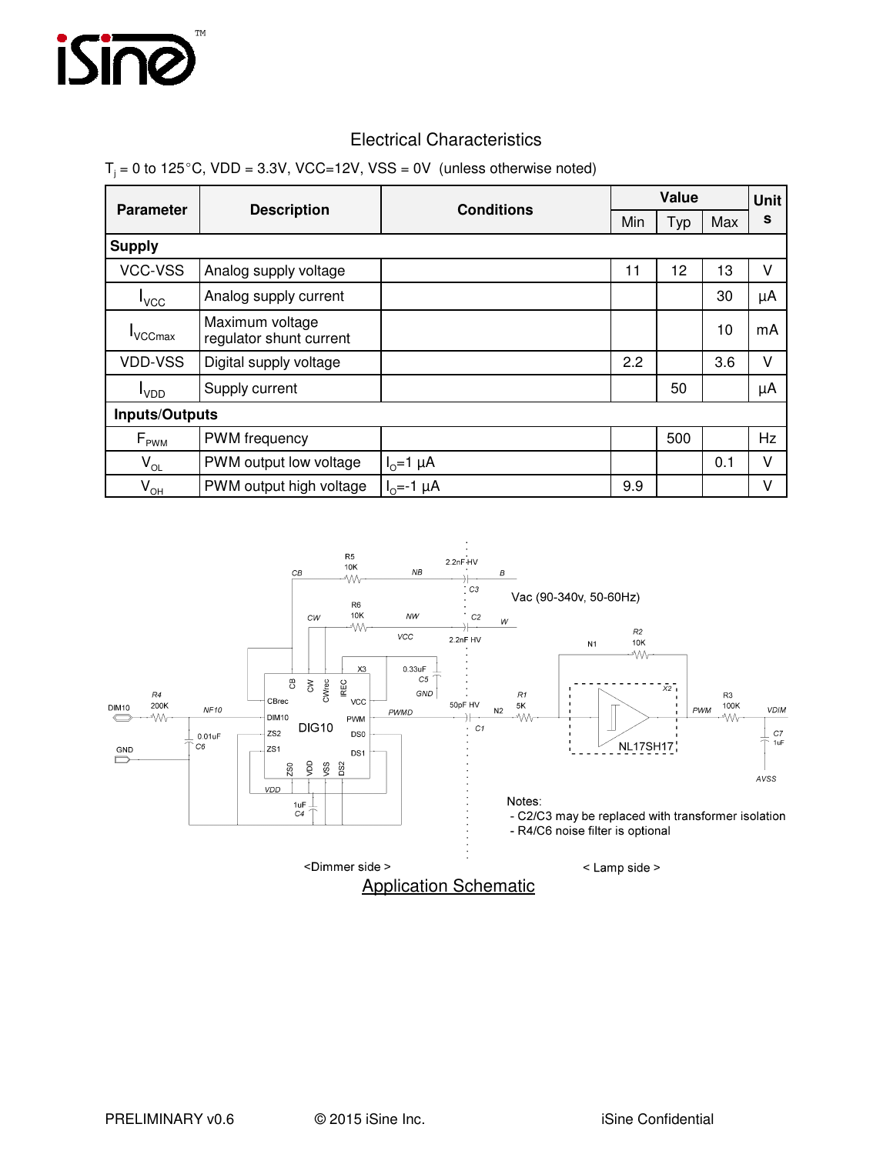

## Electrical Characteristics

#### $T_j$  = 0 to 125°C, VDD = 3.3V, VCC=12V, VSS = 0V (unless otherwise noted)

|                            |                                            | <b>Conditions</b> | Value |     |     | Unit |  |
|----------------------------|--------------------------------------------|-------------------|-------|-----|-----|------|--|
| <b>Parameter</b>           | <b>Description</b>                         |                   | Min   | Typ | Max | s    |  |
| <b>Supply</b>              |                                            |                   |       |     |     |      |  |
| VCC-VSS                    | Analog supply voltage                      |                   | 11    | 12  | 13  | ٧    |  |
| $I_{VCC}$                  | Analog supply current                      |                   |       |     | 30  | μA   |  |
| <b>VCCmax</b>              | Maximum voltage<br>regulator shunt current |                   |       |     | 10  | mA   |  |
| <b>VDD-VSS</b>             | Digital supply voltage                     |                   | 2.2   |     | 3.6 | v    |  |
| <b>L</b> <sub>VDD</sub>    | Supply current                             |                   |       | 50  |     | μA   |  |
| <b>Inputs/Outputs</b>      |                                            |                   |       |     |     |      |  |
| $F_{\text{PWM}}$           | PWM frequency                              |                   |       | 500 |     | Hz   |  |
| $V_{OL}$                   | PWM output low voltage                     | $Io=1 \mu A$      |       |     | 0.1 | v    |  |
| $\mathsf{V}_{\mathsf{OH}}$ | PWM output high voltage                    | $I_0 = -1 \mu A$  | 9.9   |     |     | V    |  |

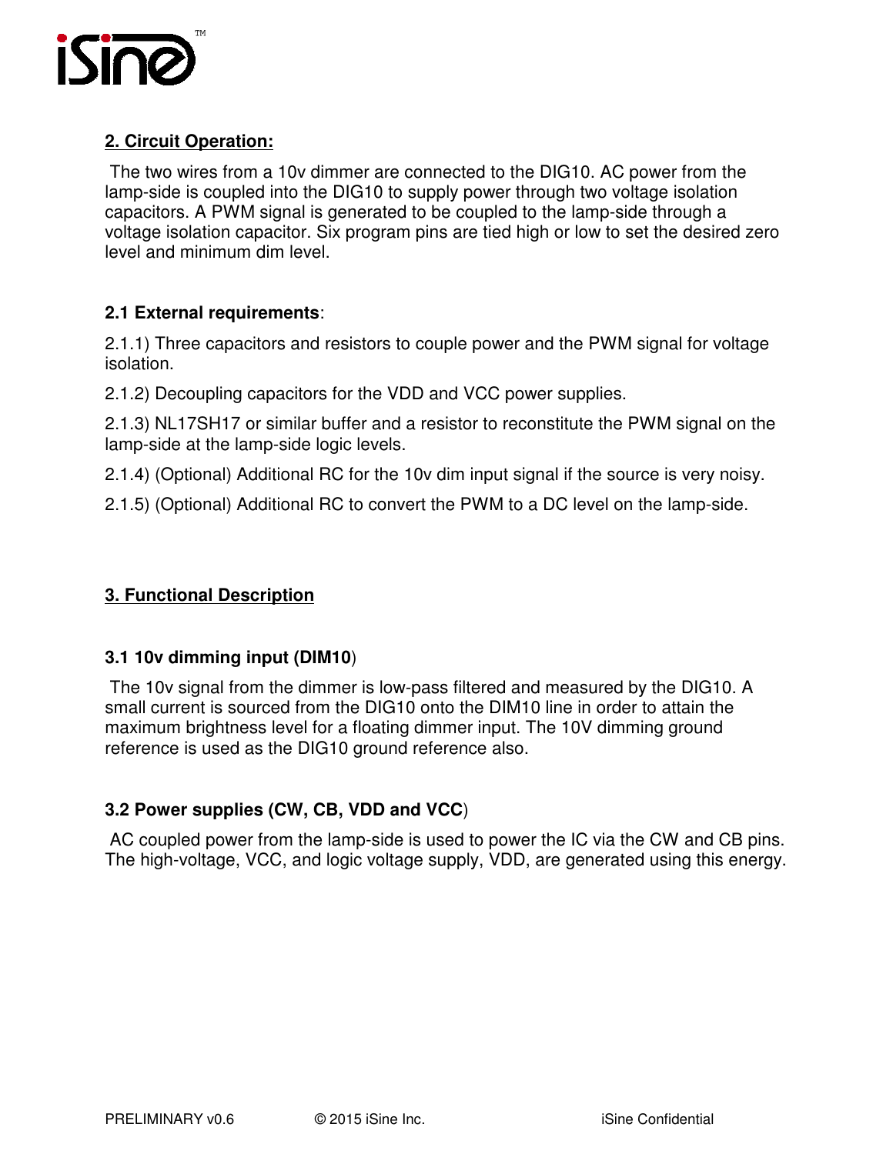

# **2. Circuit Operation:**

 The two wires from a 10v dimmer are connected to the DIG10. AC power from the lamp-side is coupled into the DIG10 to supply power through two voltage isolation capacitors. A PWM signal is generated to be coupled to the lamp-side through a voltage isolation capacitor. Six program pins are tied high or low to set the desired zero level and minimum dim level.

# **2.1 External requirements**:

2.1.1) Three capacitors and resistors to couple power and the PWM signal for voltage isolation.

2.1.2) Decoupling capacitors for the VDD and VCC power supplies.

2.1.3) NL17SH17 or similar buffer and a resistor to reconstitute the PWM signal on the lamp-side at the lamp-side logic levels.

2.1.4) (Optional) Additional RC for the 10v dim input signal if the source is very noisy.

2.1.5) (Optional) Additional RC to convert the PWM to a DC level on the lamp-side.

# **3. Functional Description**

# **3.1 10v dimming input (DIM10**)

 The 10v signal from the dimmer is low-pass filtered and measured by the DIG10. A small current is sourced from the DIG10 onto the DIM10 line in order to attain the maximum brightness level for a floating dimmer input. The 10V dimming ground reference is used as the DIG10 ground reference also.

# **3.2 Power supplies (CW, CB, VDD and VCC**)

 AC coupled power from the lamp-side is used to power the IC via the CW and CB pins. The high-voltage, VCC, and logic voltage supply, VDD, are generated using this energy.